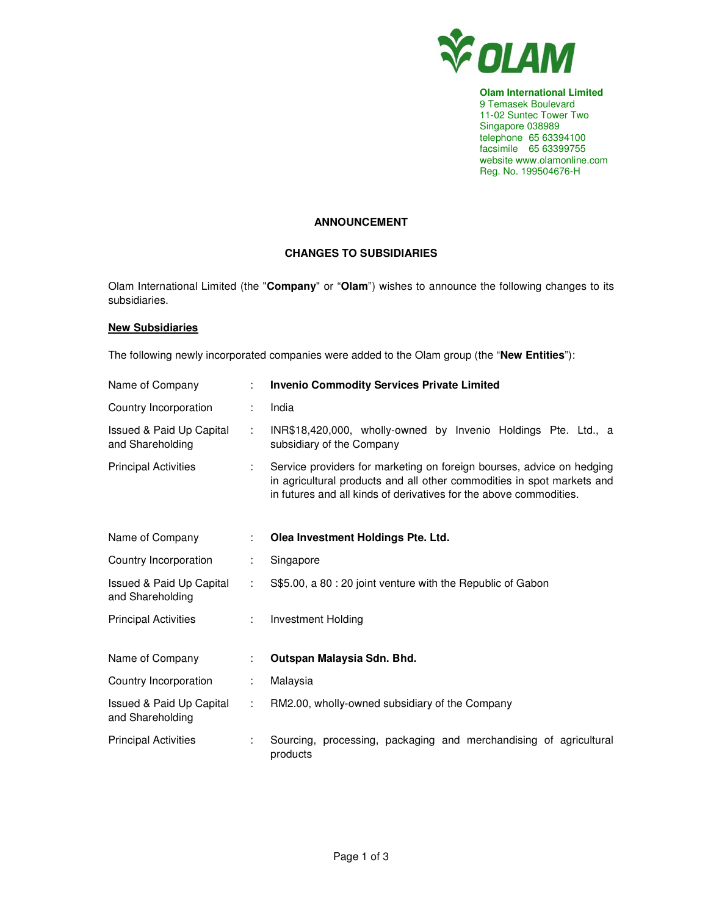

**Olam International Limited**  9 Temasek Boulevard 11-02 Suntec Tower Two Singapore 038989 telephone 65 63394100 facsimile 65 63399755 website www.olamonline.com Reg. No. 199504676-H

### **ANNOUNCEMENT**

## **CHANGES TO SUBSIDIARIES**

Olam International Limited (the "**Company**" or "**Olam**") wishes to announce the following changes to its subsidiaries.

### **New Subsidiaries**

The following newly incorporated companies were added to the Olam group (the "**New Entities**"):

| Name of Company                                         |   | <b>Invenio Commodity Services Private Limited</b>                                                                                                                                                                     |
|---------------------------------------------------------|---|-----------------------------------------------------------------------------------------------------------------------------------------------------------------------------------------------------------------------|
| Country Incorporation                                   | ÷ | India                                                                                                                                                                                                                 |
| <b>Issued &amp; Paid Up Capital</b><br>and Shareholding | ÷ | INR\$18,420,000, wholly-owned by Invenio Holdings Pte. Ltd., a<br>subsidiary of the Company                                                                                                                           |
| <b>Principal Activities</b>                             | ÷ | Service providers for marketing on foreign bourses, advice on hedging<br>in agricultural products and all other commodities in spot markets and<br>in futures and all kinds of derivatives for the above commodities. |
| Name of Company                                         | ÷ | Olea Investment Holdings Pte. Ltd.                                                                                                                                                                                    |
| Country Incorporation                                   | ÷ | Singapore                                                                                                                                                                                                             |
| <b>Issued &amp; Paid Up Capital</b><br>and Shareholding | ÷ | S\$5.00, a 80 : 20 joint venture with the Republic of Gabon                                                                                                                                                           |
| <b>Principal Activities</b>                             |   | <b>Investment Holding</b>                                                                                                                                                                                             |
| Name of Company                                         |   | Outspan Malaysia Sdn. Bhd.                                                                                                                                                                                            |
| Country Incorporation                                   | ÷ | Malaysia                                                                                                                                                                                                              |
| Issued & Paid Up Capital<br>and Shareholding            | ÷ | RM2.00, wholly-owned subsidiary of the Company                                                                                                                                                                        |
| <b>Principal Activities</b>                             |   | Sourcing, processing, packaging and merchandising of agricultural<br>products                                                                                                                                         |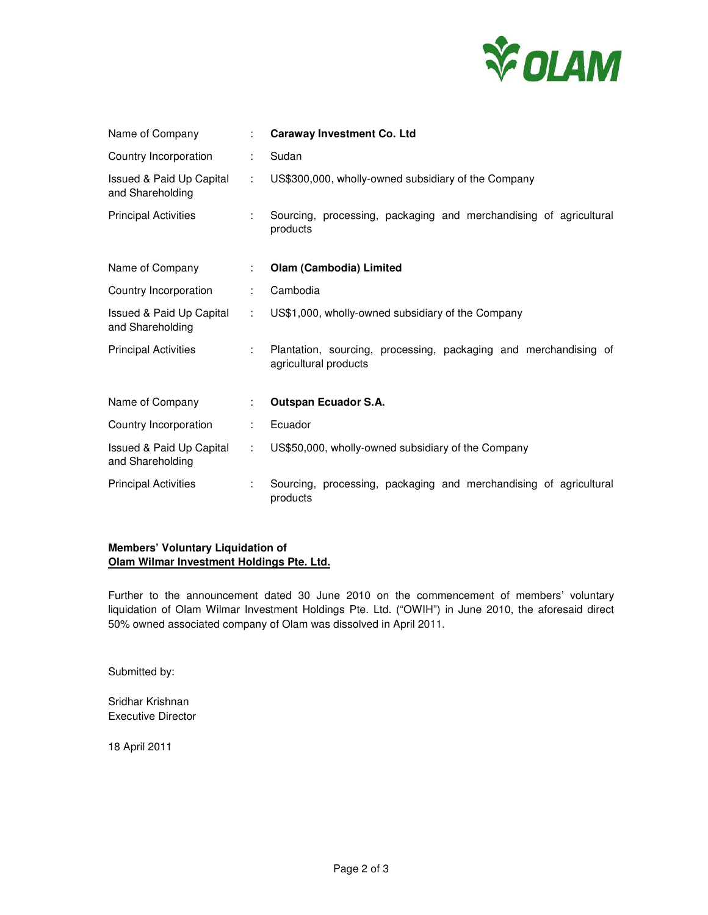

| Name of Company                              |               | <b>Caraway Investment Co. Ltd</b>                                                         |
|----------------------------------------------|---------------|-------------------------------------------------------------------------------------------|
| Country Incorporation                        |               | Sudan                                                                                     |
| Issued & Paid Up Capital<br>and Shareholding | ÷             | US\$300,000, wholly-owned subsidiary of the Company                                       |
| <b>Principal Activities</b>                  |               | Sourcing, processing, packaging and merchandising of agricultural<br>products             |
| Name of Company                              | t.            | Olam (Cambodia) Limited                                                                   |
| Country Incorporation                        | ÷             | Cambodia                                                                                  |
| Issued & Paid Up Capital<br>and Shareholding | ÷             | US\$1,000, wholly-owned subsidiary of the Company                                         |
| <b>Principal Activities</b>                  | $\mathcal{L}$ | Plantation, sourcing, processing, packaging and merchandising of<br>agricultural products |
| Name of Company                              | ÷             | <b>Outspan Ecuador S.A.</b>                                                               |
| Country Incorporation                        | ÷             | Ecuador                                                                                   |
| Issued & Paid Up Capital<br>and Shareholding | ÷             | US\$50,000, wholly-owned subsidiary of the Company                                        |
| <b>Principal Activities</b>                  |               | Sourcing, processing, packaging and merchandising of agricultural<br>products             |

# **Members' Voluntary Liquidation of Olam Wilmar Investment Holdings Pte. Ltd.**

Further to the announcement dated 30 June 2010 on the commencement of members' voluntary liquidation of Olam Wilmar Investment Holdings Pte. Ltd. ("OWIH") in June 2010, the aforesaid direct 50% owned associated company of Olam was dissolved in April 2011.

Submitted by:

Sridhar Krishnan Executive Director

18 April 2011